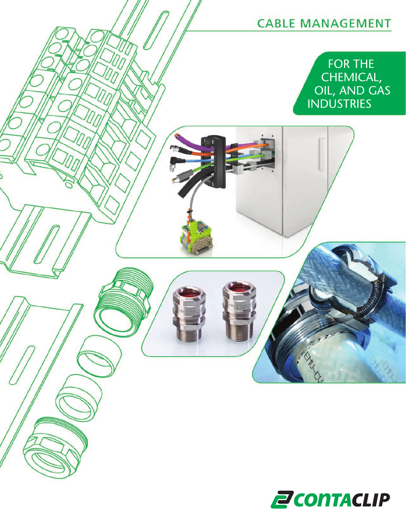

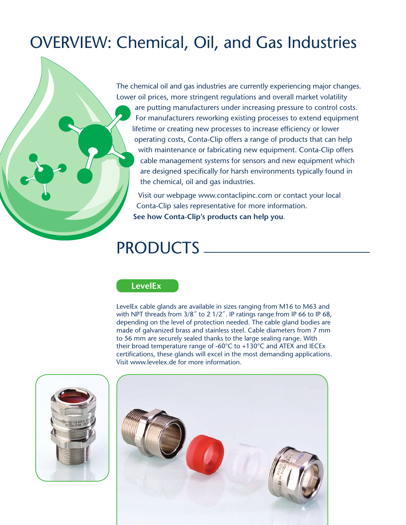# OVERVIEW: Chemical, Oil, and Gas Industries

The chemical oil and gas industries are currently experiencing major changes. Lower oil prices, more stringent regulations and overall market volatility are putting manufacturers under increasing pressure to control costs. For manufacturers reworking existing processes to extend equipment lifetime or creating new processes to increase efficiency or lower operating costs, Conta-Clip offers a range of products that can help with maintenance or fabricating new equipment. Conta-Clip offers cable management systems for sensors and new equipment which are designed specifically for harsh environments typically found in the chemical, oil and gas industries.

Visit our webpage www.contaclipinc.com or contact your local Conta-Clip sales representative for more information. **See how Conta-Clip's products can help you**.

# PRODUCTS

#### **LevelEx**

LevelEx cable glands are available in sizes ranging from M16 to M63 and with NPT threads from 3/8" to 2 1/2". IP ratings range from IP 66 to IP 68, depending on the level of protection needed. The cable gland bodies are made of galvanized brass and stainless steel. Cable diameters from 7 mm to 56 mm are securely sealed thanks to the large sealing range. With their broad temperature range of -60°C to +130°C and ATEX and IECEx certifications, these glands will excel in the most demanding applications. Visit www.levelex.de for more information.



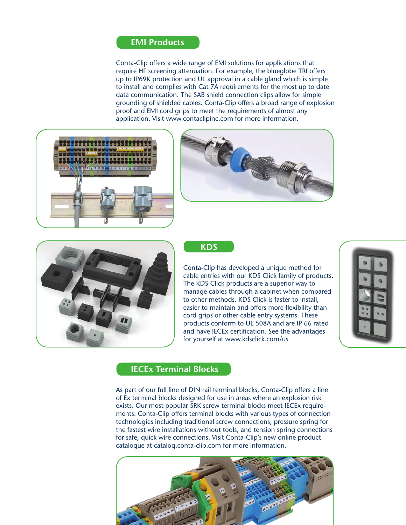#### **EMI Products**

Conta-Clip offers a wide range of EMI solutions for applications that require HF screening attenuation. For example, the blueglobe TRI offers up to IP69K protection and UL approval in a cable gland which is simple to install and complies with Cat 7A requirements for the most up to date data communication. The SAB shield connection clips allow for simple grounding of shielded cables. Conta-Clip offers a broad range of explosion proof and EMI cord grips to meet the requirements of almost any application. Visit www.contaclipinc.com for more information.







#### **KDS**

Conta-Clip has developed a unique method for cable entries with our KDS Click family of products. The KDS Click products are a superior way to manage cables through a cabinet when compared to other methods. KDS Click is faster to install, easier to maintain and offers more flexibility than cord grips or other cable entry systems. These products conform to UL 508A and are IP 66 rated and have IECEx certification. See the advantages for yourself at www.kdsclick.com/us



#### **IECEx Terminal Blocks**

As part of our full line of DIN rail terminal blocks, Conta-Clip offers a line of Ex terminal blocks designed for use in areas where an explosion risk exists. Our most popular SRK screw terminal blocks meet IECEx requirements. Conta-Clip offers terminal blocks with various types of connection technologies including traditional screw connections, pressure spring for the fastest wire installations without tools, and tension spring connections for safe, quick wire connections. Visit Conta-Clip's new online product catalogue at catalog.conta-clip.com for more information.